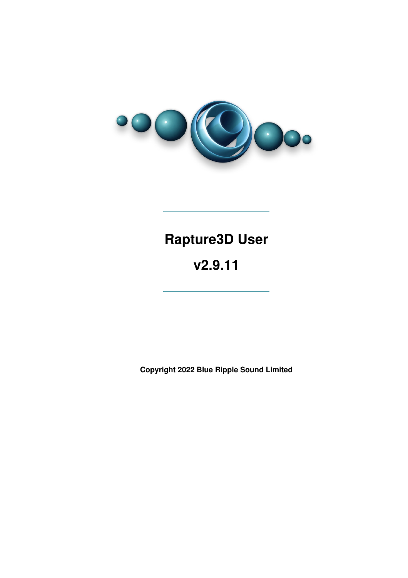

# **Rapture3D User**

## **v2.9.11**

**Copyright 2022 Blue Ripple Sound Limited**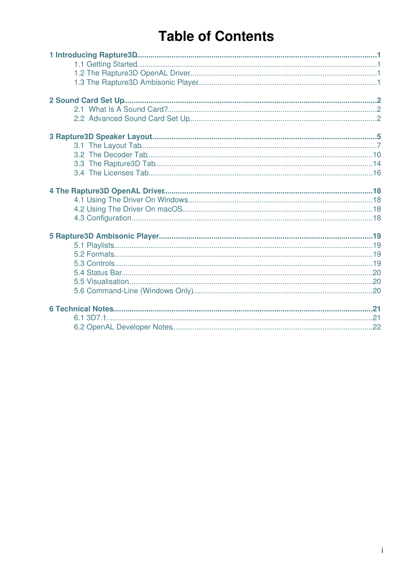# **Table of Contents**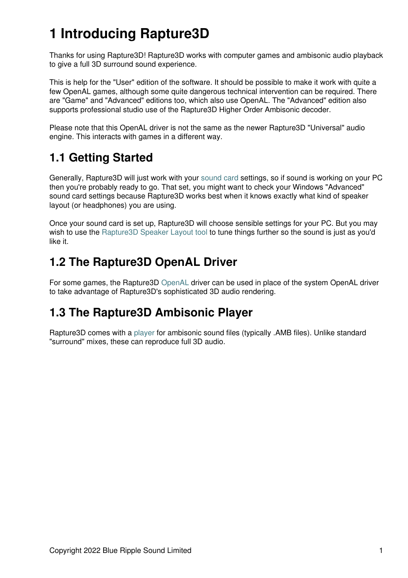# **1 Introducing Rapture3D**

Thanks for using Rapture3D! Rapture3D works with computer games and ambisonic audio playback to give a full 3D surround sound experience.

This is help for the "User" edition of the software. It should be possible to make it work with quite a few OpenAL games, although some quite dangerous technical intervention can be required. There are "Game" and "Advanced" editions too, which also use OpenAL. The "Advanced" edition also supports professional studio use of the Rapture3D Higher Order Ambisonic decoder.

Please note that this OpenAL driver is not the same as the newer Rapture3D "Universal" audio engine. This interacts with games in a different way.

### <span id="page-2-0"></span>**1.1 Getting Started**

Generally, Rapture3D will just work with your [sound card](#page-2-3) settings, so if sound is working on your PC then you're probably ready to go. That set, you might want to check your Windows "Advanced" sound card settings because Rapture3D works best when it knows exactly what kind of speaker layout (or headphones) you are using.

Once your sound card is set up, Rapture3D will choose sensible settings for your PC. But you may wish to use the [Rapture3D Speaker Layout tool](#page-5-0) to tune things further so the sound is just as you'd like it.

### <span id="page-2-1"></span>**1.2 The Rapture3D OpenAL Driver**

For some games, the Rapture3D [OpenAL](#page-18-0) driver can be used in place of the system OpenAL driver to take advantage of Rapture3D's sophisticated 3D audio rendering.

### <span id="page-2-2"></span>**1.3 The Rapture3D Ambisonic Player**

<span id="page-2-3"></span>Rapture3D comes with a [player](#page-19-3) for ambisonic sound files (typically .AMB files). Unlike standard "surround" mixes, these can reproduce full 3D audio.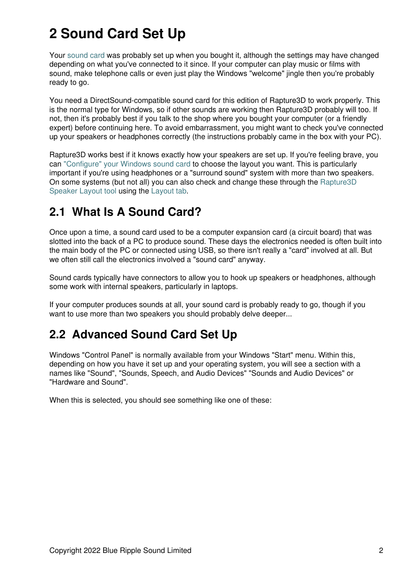# **2 Sound Card Set Up**

Your [sound card](#page-3-0) was probably set up when you bought it, although the settings may have changed depending on what you've connected to it since. If your computer can play music or films with sound, make telephone calls or even just play the Windows "welcome" jingle then you're probably ready to go.

You need a DirectSound-compatible sound card for this edition of Rapture3D to work properly. This is the normal type for Windows, so if other sounds are working then Rapture3D probably will too. If not, then it's probably best if you talk to the shop where you bought your computer (or a friendly expert) before continuing here. To avoid embarrassment, you might want to check you've connected up your speakers or headphones correctly (the instructions probably came in the box with your PC).

Rapture3D works best if it knows exactly how your speakers are set up. If you're feeling brave, you can ["Configure" your Windows sound card](#page-3-1) to choose the layout you want. This is particularly important if you're using headphones or a "surround sound" system with more than two speakers. On some systems (but not all) you can also check and change these through the [Rapture3D](#page-5-0) [Speaker Layout tool](#page-5-0) using the [Layout tab.](#page-8-0)

### <span id="page-3-0"></span>**2.1 What Is A Sound Card?**

Once upon a time, a sound card used to be a computer expansion card (a circuit board) that was slotted into the back of a PC to produce sound. These days the electronics needed is often built into the main body of the PC or connected using USB, so there isn't really a "card" involved at all. But we often still call the electronics involved a "sound card" anyway.

Sound cards typically have connectors to allow you to hook up speakers or headphones, although some work with internal speakers, particularly in laptops.

If your computer produces sounds at all, your sound card is probably ready to go, though if you want to use more than two speakers you should probably delve deeper...

### <span id="page-3-1"></span>**2.2 Advanced Sound Card Set Up**

Windows "Control Panel" is normally available from your Windows "Start" menu. Within this, depending on how you have it set up and your operating system, you will see a section with a names like "Sound", "Sounds, Speech, and Audio Devices" "Sounds and Audio Devices" or "Hardware and Sound".

When this is selected, you should see something like one of these: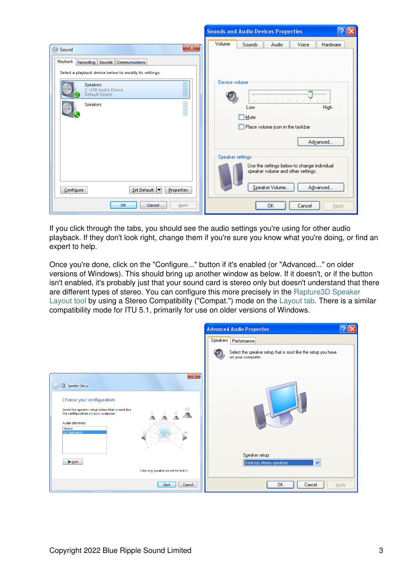|                                                                                                    | -2<br><b>Sounds and Audio Devices Properties</b>                                                                                                                    |
|----------------------------------------------------------------------------------------------------|---------------------------------------------------------------------------------------------------------------------------------------------------------------------|
| $\mathbf{x}$<br>Sound                                                                              | Volume<br>Sounds<br>Voice<br>Audio<br>Hardware                                                                                                                      |
| Playback Recording Sounds Communications<br>Select a playback device below to modify its settings: |                                                                                                                                                                     |
| <b>Speakers</b><br>2- USB Audio Device<br><b>Default Device</b><br><b>Speakers</b>                 | Device volume<br>High<br>Low<br><b>□</b> Mute<br>Place volume icon in the taskbar<br>Advanced                                                                       |
| $Set$ Default $\blacktriangledown$<br>Properties<br>Configure<br>OK<br>Cancel<br>Apply             | Speaker settings<br>Use the settings below to change individual<br>speaker volume and other settings.<br>Speaker Volume<br>Advanced<br>OK<br>Cancel<br><b>Apply</b> |

If you click through the tabs, you should see the audio settings you're using for other audio playback. If they don't look right, change them if you're sure you know what you're doing, or find an expert to help.

Once you're done, click on the "Configure..." button if it's enabled (or "Advanced..." on older versions of Windows). This should bring up another window as below. If it doesn't, or if the button isn't enabled, it's probably just that your sound card is stereo only but doesn't understand that there are different types of stereo. You can configure this more precisely in the [Rapture3D Speaker](#page-5-0) [Layout tool](#page-5-0) by using a Stereo Compatibility ("Compat.") mode on the [Layout tab.](#page-8-0) There is a similar compatibility mode for ITU 5.1, primarily for use on older versions of Windows.

|                                                                                                                                                                                                                                              | <b>Advanced Audio Properties</b>                                                   |              |
|----------------------------------------------------------------------------------------------------------------------------------------------------------------------------------------------------------------------------------------------|------------------------------------------------------------------------------------|--------------|
|                                                                                                                                                                                                                                              | <b>Speakers</b><br>Performance                                                     |              |
|                                                                                                                                                                                                                                              | Select the speaker setup that is most like the setup you have<br>on your computer. |              |
| $\mathbf{x}$<br>Speaker Setup<br>Choose your configuration<br>Sub<br>Select the speaker setup below that is most like<br>the configuration on your computer.<br>$\frac{R}{R}$<br>힟<br>Audio channels:<br>Stereo<br>5.1 Surround<br><b>SR</b> |                                                                                    |              |
| F                                                                                                                                                                                                                                            | Speaker setup:<br>Desktop stereo speakers<br>$\checkmark$                          |              |
| Click any speaker above to test it.                                                                                                                                                                                                          |                                                                                    |              |
| Next<br>Cancel                                                                                                                                                                                                                               | 0K<br>Cancel                                                                       | <b>Apply</b> |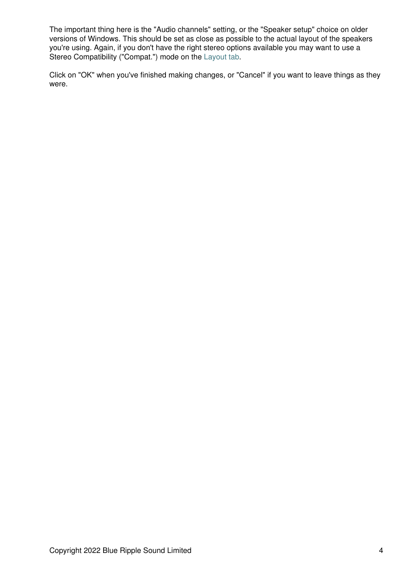The important thing here is the "Audio channels" setting, or the "Speaker setup" choice on older versions of Windows. This should be set as close as possible to the actual layout of the speakers you're using. Again, if you don't have the right stereo options available you may want to use a Stereo Compatibility ("Compat.") mode on the [Layout tab.](#page-8-0)

<span id="page-5-0"></span>Click on "OK" when you've finished making changes, or "Cancel" if you want to leave things as they were.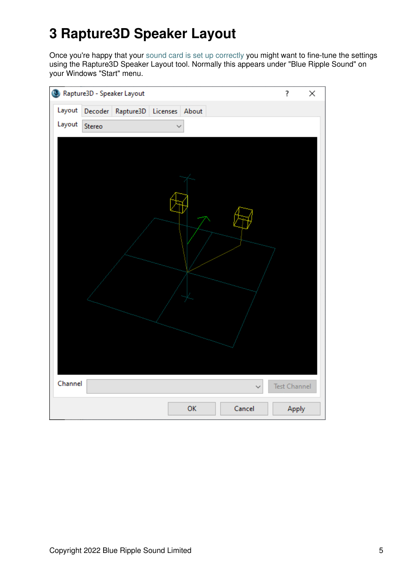# **3 Rapture3D Speaker Layout**

Once you're happy that your [sound card is set up correctly](#page-2-3) you might want to fine-tune the settings using the Rapture3D Speaker Layout tool. Normally this appears under "Blue Ripple Sound" on your Windows "Start" menu.

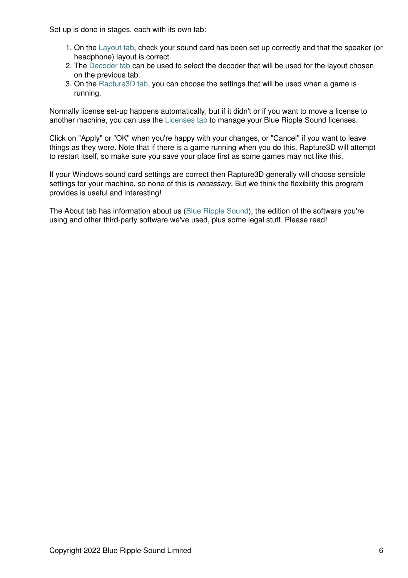Set up is done in stages, each with its own tab:

- 1. On the [Layout tab,](#page-8-0) check your sound card has been set up correctly and that the speaker (or headphone) layout is correct.
- 2. The [Decoder tab](#page-11-0) can be used to select the decoder that will be used for the layout chosen on the previous tab.
- 3. On the [Rapture3D tab,](#page-15-0) you can choose the settings that will be used when a game is running.

Normally license set-up happens automatically, but if it didn't or if you want to move a license to another machine, you can use the [Licenses tab](#page-17-0) to manage your Blue Ripple Sound licenses.

Click on "Apply" or "OK" when you're happy with your changes, or "Cancel" if you want to leave things as they were. Note that if there is a game running when you do this, Rapture3D will attempt to restart itself, so make sure you save your place first as some games may not like this.

If your Windows sound card settings are correct then Rapture3D generally will choose sensible settings for your machine, so none of this is *necessary*. But we think the flexibility this program provides is useful and interesting!

The About tab has information about us [\(Blue Ripple Sound](http://www.blueripplesound.com)), the edition of the software you're using and other third-party software we've used, plus some legal stuff. Please read!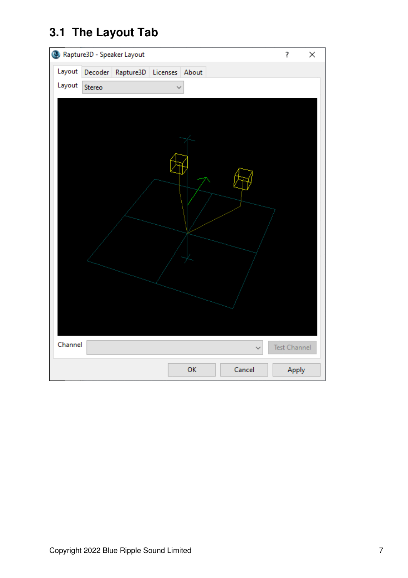## <span id="page-8-0"></span>**3.1 The Layout Tab**

| Rapture3D - Speaker Layout                 | ?<br>×            |
|--------------------------------------------|-------------------|
| Layout<br>Decoder Rapture3D Licenses About |                   |
| Layout<br>Stereo                           |                   |
|                                            |                   |
| Channel                                    | Test Channel<br>Ŵ |
| OK<br>Cancel                               | Apply             |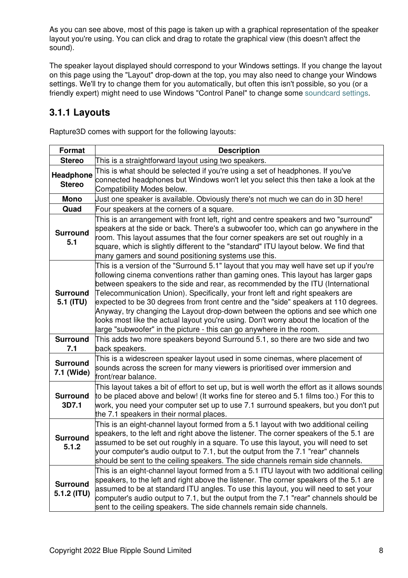As you can see above, most of this page is taken up with a graphical representation of the speaker layout you're using. You can click and drag to rotate the graphical view (this doesn't affect the sound).

The speaker layout displayed should correspond to your Windows settings. If you change the layout on this page using the "Layout" drop-down at the top, you may also need to change your Windows settings. We'll try to change them for you automatically, but often this isn't possible, so you (or a friendly expert) might need to use Windows "Control Panel" to change some [soundcard settings](#page-2-3).

#### **3.1.1 Layouts**

Rapture3D comes with support for the following layouts:

| Format                         | <b>Description</b>                                                                                                                                                                                                                                                                                                                                                                                                                                                                                                                                                                                                                                                                          |
|--------------------------------|---------------------------------------------------------------------------------------------------------------------------------------------------------------------------------------------------------------------------------------------------------------------------------------------------------------------------------------------------------------------------------------------------------------------------------------------------------------------------------------------------------------------------------------------------------------------------------------------------------------------------------------------------------------------------------------------|
| <b>Stereo</b>                  | This is a straightforward layout using two speakers.                                                                                                                                                                                                                                                                                                                                                                                                                                                                                                                                                                                                                                        |
| Headphone<br><b>Stereo</b>     | This is what should be selected if you're using a set of headphones. If you've<br>connected headphones but Windows won't let you select this then take a look at the<br>Compatibility Modes below.                                                                                                                                                                                                                                                                                                                                                                                                                                                                                          |
| <b>Mono</b>                    | Just one speaker is available. Obviously there's not much we can do in 3D here!                                                                                                                                                                                                                                                                                                                                                                                                                                                                                                                                                                                                             |
| Quad                           | Four speakers at the corners of a square.                                                                                                                                                                                                                                                                                                                                                                                                                                                                                                                                                                                                                                                   |
| <b>Surround</b><br>5.1         | This is an arrangement with front left, right and centre speakers and two "surround"<br>speakers at the side or back. There's a subwoofer too, which can go anywhere in the<br>room. This layout assumes that the four corner speakers are set out roughly in a<br>square, which is slightly different to the "standard" ITU layout below. We find that<br>many gamers and sound positioning systems use this.                                                                                                                                                                                                                                                                              |
| <b>Surround</b><br>5.1 (ITU)   | This is a version of the "Surround 5.1" layout that you may well have set up if you're<br>following cinema conventions rather than gaming ones. This layout has larger gaps<br>between speakers to the side and rear, as recommended by the ITU (International<br>Telecommunication Union). Specifically, your front left and right speakers are<br>expected to be 30 degrees from front centre and the "side" speakers at 110 degrees.<br>Anyway, try changing the Layout drop-down between the options and see which one<br>looks most like the actual layout you're using. Don't worry about the location of the<br>large "subwoofer" in the picture - this can go anywhere in the room. |
| <b>Surround</b><br>7.1         | This adds two more speakers beyond Surround 5.1, so there are two side and two<br>back speakers.                                                                                                                                                                                                                                                                                                                                                                                                                                                                                                                                                                                            |
| <b>Surround</b><br>7.1 (Wide)  | This is a widescreen speaker layout used in some cinemas, where placement of<br>sounds across the screen for many viewers is prioritised over immersion and<br>front/rear balance.                                                                                                                                                                                                                                                                                                                                                                                                                                                                                                          |
| <b>Surround</b><br>3D7.1       | This layout takes a bit of effort to set up, but is well worth the effort as it allows sounds<br>to be placed above and below! (It works fine for stereo and 5.1 films too.) For this to<br>work, you need your computer set up to use 7.1 surround speakers, but you don't put<br>the 7.1 speakers in their normal places.                                                                                                                                                                                                                                                                                                                                                                 |
| <b>Surround</b><br>5.1.2       | This is an eight-channel layout formed from a 5.1 layout with two additional ceiling<br>speakers, to the left and right above the listener. The corner speakers of the 5.1 are<br>assumed to be set out roughly in a square. To use this layout, you will need to set<br>your computer's audio output to 7.1, but the output from the 7.1 "rear" channels<br>should be sent to the ceiling speakers. The side channels remain side channels.                                                                                                                                                                                                                                                |
| <b>Surround</b><br>5.1.2 (ITU) | This is an eight-channel layout formed from a 5.1 ITU layout with two additional ceiling<br>speakers, to the left and right above the listener. The corner speakers of the 5.1 are<br>assumed to be at standard ITU angles. To use this layout, you will need to set your<br>computer's audio output to 7.1, but the output from the 7.1 "rear" channels should be<br>sent to the ceiling speakers. The side channels remain side channels.                                                                                                                                                                                                                                                 |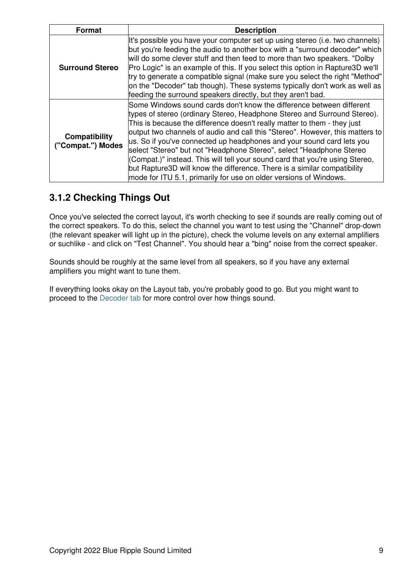| <b>Format</b>                             | <b>Description</b>                                                                                                                                                                                                                                                                                                                                                                                                                                                                                                                                                                                                                                                                              |
|-------------------------------------------|-------------------------------------------------------------------------------------------------------------------------------------------------------------------------------------------------------------------------------------------------------------------------------------------------------------------------------------------------------------------------------------------------------------------------------------------------------------------------------------------------------------------------------------------------------------------------------------------------------------------------------------------------------------------------------------------------|
| <b>Surround Stereo</b>                    | It's possible you have your computer set up using stereo (i.e. two channels)<br>but you're feeding the audio to another box with a "surround decoder" which<br>will do some clever stuff and then feed to more than two speakers. "Dolby<br>Pro Logic" is an example of this. If you select this option in Rapture3D we'll<br>try to generate a compatible signal (make sure you select the right "Method"<br>on the "Decoder" tab though). These systems typically don't work as well as<br>feeding the surround speakers directly, but they aren't bad.                                                                                                                                       |
| <b>Compatibility</b><br>("Compat.") Modes | Some Windows sound cards don't know the difference between different<br>types of stereo (ordinary Stereo, Headphone Stereo and Surround Stereo).<br>This is because the difference doesn't really matter to them - they just<br>output two channels of audio and call this "Stereo". However, this matters to<br>us. So if you've connected up headphones and your sound card lets you<br>select "Stereo" but not "Headphone Stereo", select "Headphone Stereo<br>(Compat.)" instead. This will tell your sound card that you're using Stereo,<br>but Rapture3D will know the difference. There is a similar compatibility<br>mode for ITU 5.1, primarily for use on older versions of Windows. |

#### **3.1.2 Checking Things Out**

Once you've selected the correct layout, it's worth checking to see if sounds are really coming out of the correct speakers. To do this, select the channel you want to test using the "Channel" drop-down (the relevant speaker will light up in the picture), check the volume levels on any external amplifiers or suchlike - and click on "Test Channel". You should hear a "bing" noise from the correct speaker.

Sounds should be roughly at the same level from all speakers, so if you have any external amplifiers you might want to tune them.

If everything looks okay on the Layout tab, you're probably good to go. But you might want to proceed to the [Decoder tab](#page-11-0) for more control over how things sound.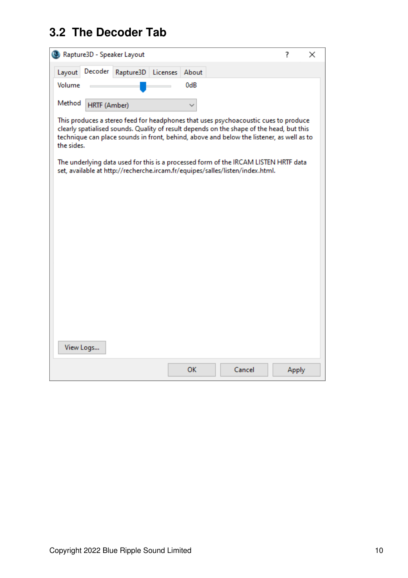### <span id="page-11-0"></span>**3.2 The Decoder Tab**

|            |              | Rapture3D - Speaker Layout                                                                                                                                                                                                                                                  |          |       |        | ? |       | × |
|------------|--------------|-----------------------------------------------------------------------------------------------------------------------------------------------------------------------------------------------------------------------------------------------------------------------------|----------|-------|--------|---|-------|---|
| Layout     | Decoder      | Rapture3D                                                                                                                                                                                                                                                                   | Licenses | About |        |   |       |   |
| Volume     |              |                                                                                                                                                                                                                                                                             |          | 0dB   |        |   |       |   |
| Method     | HRTF (Amber) |                                                                                                                                                                                                                                                                             |          |       |        |   |       |   |
| the sides. |              | This produces a stereo feed for headphones that uses psychoacoustic cues to produce<br>clearly spatialised sounds. Quality of result depends on the shape of the head, but this<br>technique can place sounds in front, behind, above and below the listener, as well as to |          |       |        |   |       |   |
|            |              | The underlying data used for this is a processed form of the IRCAM LISTEN HRTF data<br>set, available at http://recherche.ircam.fr/equipes/salles/listen/index.html.                                                                                                        |          |       |        |   |       |   |
|            |              |                                                                                                                                                                                                                                                                             |          |       |        |   |       |   |
|            |              |                                                                                                                                                                                                                                                                             |          |       |        |   |       |   |
|            |              |                                                                                                                                                                                                                                                                             |          |       |        |   |       |   |
|            |              |                                                                                                                                                                                                                                                                             |          |       |        |   |       |   |
|            |              |                                                                                                                                                                                                                                                                             |          |       |        |   |       |   |
|            |              |                                                                                                                                                                                                                                                                             |          |       |        |   |       |   |
|            |              |                                                                                                                                                                                                                                                                             |          |       |        |   |       |   |
|            |              |                                                                                                                                                                                                                                                                             |          |       |        |   |       |   |
|            |              |                                                                                                                                                                                                                                                                             |          |       |        |   |       |   |
| View Logs  |              |                                                                                                                                                                                                                                                                             |          |       |        |   |       |   |
|            |              |                                                                                                                                                                                                                                                                             |          | OK    | Cancel |   | Apply |   |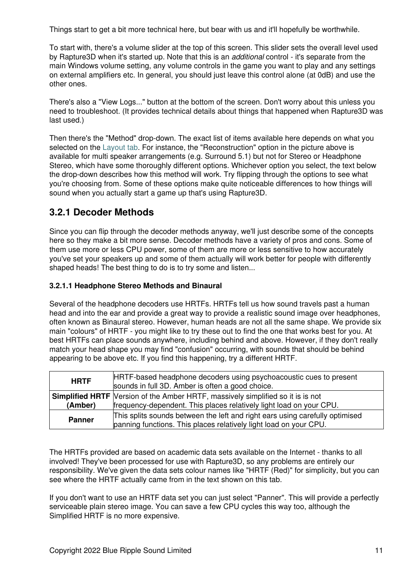Things start to get a bit more technical here, but bear with us and it'll hopefully be worthwhile.

To start with, there's a volume slider at the top of this screen. This slider sets the overall level used by Rapture3D when it's started up. Note that this is an *additional* control - it's separate from the main Windows volume setting, any volume controls in the game you want to play and any settings on external amplifiers etc. In general, you should just leave this control alone (at 0dB) and use the other ones.

There's also a "View Logs..." button at the bottom of the screen. Don't worry about this unless you need to troubleshoot. (It provides technical details about things that happened when Rapture3D was last used.)

Then there's the "Method" drop-down. The exact list of items available here depends on what you selected on the [Layout tab](#page-8-0). For instance, the "Reconstruction" option in the picture above is available for multi speaker arrangements (e.g. Surround 5.1) but not for Stereo or Headphone Stereo, which have some thoroughly different options. Whichever option you select, the text below the drop-down describes how this method will work. Try flipping through the options to see what you're choosing from. Some of these options make quite noticeable differences to how things will sound when you actually start a game up that's using Rapture3D.

#### **3.2.1 Decoder Methods**

Since you can flip through the decoder methods anyway, we'll just describe some of the concepts here so they make a bit more sense. Decoder methods have a variety of pros and cons. Some of them use more or less CPU power, some of them are more or less sensitive to how accurately you've set your speakers up and some of them actually will work better for people with differently shaped heads! The best thing to do is to try some and listen...

#### **3.2.1.1 Headphone Stereo Methods and Binaural**

Several of the headphone decoders use HRTFs. HRTFs tell us how sound travels past a human head and into the ear and provide a great way to provide a realistic sound image over headphones, often known as Binaural stereo. However, human heads are not all the same shape. We provide six main "colours" of HRTF - you might like to try these out to find the one that works best for you. At best HRTFs can place sounds anywhere, including behind and above. However, if they don't really match your head shape you may find "confusion" occurring, with sounds that should be behind appearing to be above etc. If you find this happening, try a different HRTF.

| HRTF-based headphone decoders using psychoacoustic cues to present<br><b>HRTF</b><br>sounds in full 3D. Amber is often a good choice.                                    |                                                                                                                                                   |
|--------------------------------------------------------------------------------------------------------------------------------------------------------------------------|---------------------------------------------------------------------------------------------------------------------------------------------------|
| <b>Simplified HRTF</b> Version of the Amber HRTF, massively simplified so it is is not<br>frequency-dependent. This places relatively light load on your CPU.<br>(Amber) |                                                                                                                                                   |
| <b>Panner</b>                                                                                                                                                            | This splits sounds between the left and right ears using carefully optimised<br>panning functions. This places relatively light load on your CPU. |

The HRTFs provided are based on academic data sets available on the Internet - thanks to all involved! They've been processed for use with Rapture3D, so any problems are entirely our responsibility. We've given the data sets colour names like "HRTF (Red)" for simplicity, but you can see where the HRTF actually came from in the text shown on this tab.

If you don't want to use an HRTF data set you can just select "Panner". This will provide a perfectly serviceable plain stereo image. You can save a few CPU cycles this way too, although the Simplified HRTF is no more expensive.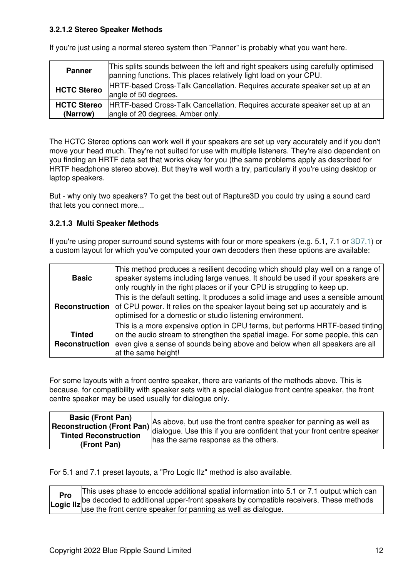#### **3.2.1.2 Stereo Speaker Methods**

| <b>Panner</b>                  | This splits sounds between the left and right speakers using carefully optimised<br>panning functions. This places relatively light load on your CPU. |
|--------------------------------|-------------------------------------------------------------------------------------------------------------------------------------------------------|
| <b>HCTC Stereo</b>             | HRTF-based Cross-Talk Cancellation. Requires accurate speaker set up at an<br>angle of 50 degrees.                                                    |
| <b>HCTC Stereo</b><br>(Narrow) | HRTF-based Cross-Talk Cancellation. Requires accurate speaker set up at an<br>angle of 20 degrees. Amber only.                                        |

If you're just using a normal stereo system then "Panner" is probably what you want here.

The HCTC Stereo options can work well if your speakers are set up very accurately and if you don't move your head much. They're not suited for use with multiple listeners. They're also dependent on you finding an HRTF data set that works okay for you (the same problems apply as described for HRTF headphone stereo above). But they're well worth a try, particularly if you're using desktop or laptop speakers.

But - why only two speakers? To get the best out of Rapture3D you could try using a sound card that lets you connect more...

#### **3.2.1.3 Multi Speaker Methods**

If you're using proper surround sound systems with four or more speakers (e.g. 5.1, 7.1 or [3D7.1](#page-22-0)) or a custom layout for which you've computed your own decoders then these options are available:

| <b>Basic</b>                    | This method produces a resilient decoding which should play well on a range of<br>speaker systems including large venues. It should be used if your speakers are<br>only roughly in the right places or if your CPU is struggling to keep up.                         |
|---------------------------------|-----------------------------------------------------------------------------------------------------------------------------------------------------------------------------------------------------------------------------------------------------------------------|
| Reconstruction                  | This is the default setting. It produces a solid image and uses a sensible amount<br>of CPU power. It relies on the speaker layout being set up accurately and is<br>optimised for a domestic or studio listening environment.                                        |
| <b>Tinted</b><br>Reconstruction | This is a more expensive option in CPU terms, but performs HRTF-based tinting<br>on the audio stream to strengthen the spatial image. For some people, this can<br>even give a sense of sounds being above and below when all speakers are all<br>at the same height! |

For some layouts with a front centre speaker, there are variants of the methods above. This is because, for compatibility with speaker sets with a special dialogue front centre speaker, the front centre speaker may be used usually for dialogue only.

| <b>Basic (Front Pan)</b> | As above, but use the front centre speaker for panning as well as |
|--------------------------|-------------------------------------------------------------------|
| (Front Pan)              | has the same response as the others.                              |

For 5.1 and 7.1 preset layouts, a "Pro Logic IIz" method is also available.

| Pro | This uses phase to encode additional spatial information into 5.1 or 7.1 output which can                                                                                            |
|-----|--------------------------------------------------------------------------------------------------------------------------------------------------------------------------------------|
|     | <b>Pro</b><br>Logic IIz be decoded to additional upper-front speakers by compatible receivers. These methods Logic IIz use the front centre speaker for panning as well as dialogue. |
|     |                                                                                                                                                                                      |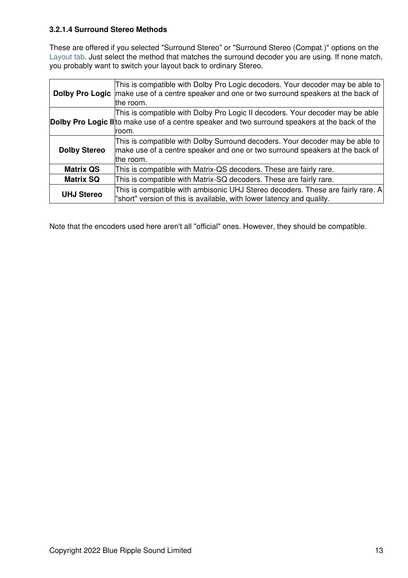#### **3.2.1.4 Surround Stereo Methods**

These are offered if you selected "Surround Stereo" or "Surround Stereo (Compat.)" options on the [Layout tab](#page-8-0). Just select the method that matches the surround decoder you are using. If none match, you probably want to switch your layout back to ordinary Stereo.

|                     | This is compatible with Dolby Pro Logic decoders. Your decoder may be able to<br><b>Dolby Pro Logic</b> make use of a centre speaker and one or two surround speakers at the back of<br>the room. |  |
|---------------------|---------------------------------------------------------------------------------------------------------------------------------------------------------------------------------------------------|--|
|                     | This is compatible with Dolby Pro Logic II decoders. Your decoder may be able<br>Dolby Pro Logic II to make use of a centre speaker and two surround speakers at the back of the<br>room.         |  |
| <b>Dolby Stereo</b> | This is compatible with Dolby Surround decoders. Your decoder may be able to<br>make use of a centre speaker and one or two surround speakers at the back of<br>the room.                         |  |
| <b>Matrix QS</b>    | This is compatible with Matrix-QS decoders. These are fairly rare.                                                                                                                                |  |
| <b>Matrix SQ</b>    | This is compatible with Matrix-SQ decoders. These are fairly rare.                                                                                                                                |  |
| <b>UHJ Stereo</b>   | This is compatible with ambisonic UHJ Stereo decoders. These are fairly rare. A<br>"short" version of this is available, with lower latency and quality.                                          |  |

Note that the encoders used here aren't all "official" ones. However, they should be compatible.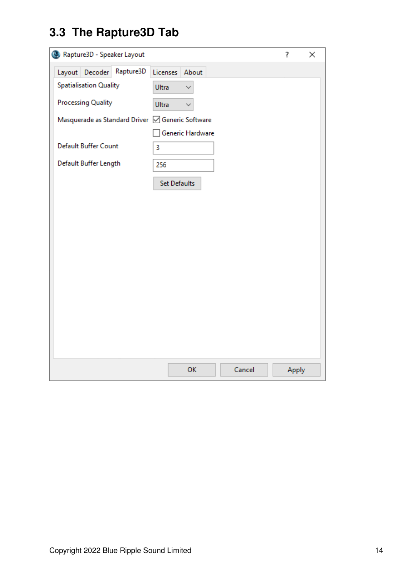## <span id="page-15-0"></span>**3.3 The Rapture3D Tab**

| Rapture3D - Speaker Layout<br>?                  |                       |       |  |  |
|--------------------------------------------------|-----------------------|-------|--|--|
| Rapture3D<br>Layout Decoder                      | Licenses About        |       |  |  |
| <b>Spatialisation Quality</b>                    | Ultra<br>$\checkmark$ |       |  |  |
| <b>Processing Quality</b>                        | Ultra                 |       |  |  |
| Masquerade as Standard Driver   Generic Software |                       |       |  |  |
|                                                  | Generic Hardware      |       |  |  |
| <b>Default Buffer Count</b>                      | 3                     |       |  |  |
| Default Buffer Length                            | 256                   |       |  |  |
|                                                  | Set Defaults          |       |  |  |
|                                                  |                       |       |  |  |
|                                                  |                       |       |  |  |
|                                                  |                       |       |  |  |
|                                                  |                       |       |  |  |
|                                                  |                       |       |  |  |
|                                                  |                       |       |  |  |
|                                                  |                       |       |  |  |
|                                                  |                       |       |  |  |
|                                                  |                       |       |  |  |
|                                                  |                       |       |  |  |
|                                                  |                       |       |  |  |
|                                                  | Cancel<br>OK          | Apply |  |  |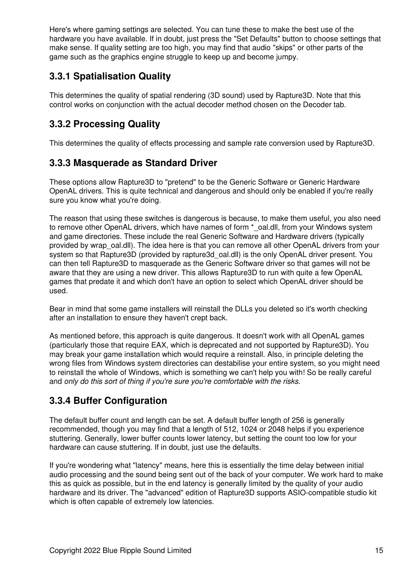Here's where gaming settings are selected. You can tune these to make the best use of the hardware you have available. If in doubt, just press the "Set Defaults" button to choose settings that make sense. If quality setting are too high, you may find that audio "skips" or other parts of the game such as the graphics engine struggle to keep up and become jumpy.

#### **3.3.1 Spatialisation Quality**

This determines the quality of spatial rendering (3D sound) used by Rapture3D. Note that this control works on conjunction with the actual decoder method chosen on the Decoder tab.

### **3.3.2 Processing Quality**

This determines the quality of effects processing and sample rate conversion used by Rapture3D.

#### **3.3.3 Masquerade as Standard Driver**

These options allow Rapture3D to "pretend" to be the Generic Software or Generic Hardware OpenAL drivers. This is quite technical and dangerous and should only be enabled if you're really sure you know what you're doing.

The reason that using these switches is dangerous is because, to make them useful, you also need to remove other OpenAL drivers, which have names of form \*\_oal.dll, from your Windows system and game directories. These include the real Generic Software and Hardware drivers (typically provided by wrap\_oal.dll). The idea here is that you can remove all other OpenAL drivers from your system so that Rapture3D (provided by rapture3d oal.dll) is the only OpenAL driver present. You can then tell Rapture3D to masquerade as the Generic Software driver so that games will not be aware that they are using a new driver. This allows Rapture3D to run with quite a few OpenAL games that predate it and which don't have an option to select which OpenAL driver should be used.

Bear in mind that some game installers will reinstall the DLLs you deleted so it's worth checking after an installation to ensure they haven't crept back.

As mentioned before, this approach is quite dangerous. It doesn't work with all OpenAL games (particularly those that require EAX, which is deprecated and not supported by Rapture3D). You may break your game installation which would require a reinstall. Also, in principle deleting the wrong files from Windows system directories can destabilise your entire system, so you might need to reinstall the whole of Windows, which is something we can't help you with! So be really careful and *only do this sort of thing if you're sure you're comfortable with the risks*.

### **3.3.4 Buffer Configuration**

The default buffer count and length can be set. A default buffer length of 256 is generally recommended, though you may find that a length of 512, 1024 or 2048 helps if you experience stuttering. Generally, lower buffer counts lower latency, but setting the count too low for your hardware can cause stuttering. If in doubt, just use the defaults.

If you're wondering what "latency" means, here this is essentially the time delay between initial audio processing and the sound being sent out of the back of your computer. We work hard to make this as quick as possible, but in the end latency is generally limited by the quality of your audio hardware and its driver. The "advanced" edition of Rapture3D supports ASIO-compatible studio kit which is often capable of extremely low latencies.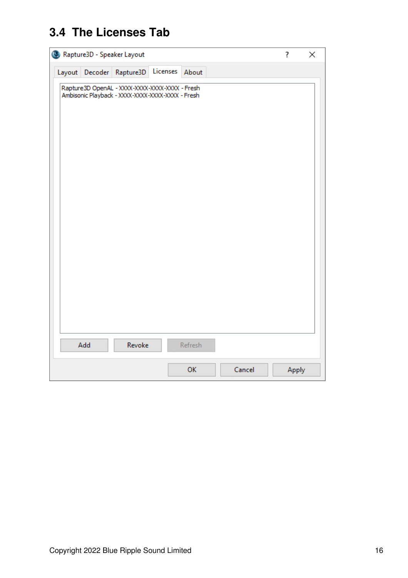## <span id="page-17-0"></span>**3.4 The Licenses Tab**

| ?<br>Rapture3D - Speaker Layout                                                                    |       |  |
|----------------------------------------------------------------------------------------------------|-------|--|
| Licenses About<br>Layout Decoder Rapture3D                                                         |       |  |
| Rapture3D OpenAL - XXXX-XXXX-XXXX-XXXX - Fresh<br>Ambisonic Playback - XXXX-XXXX-XXXX-XXXX - Fresh |       |  |
| Refresh<br>Add<br>Revoke                                                                           |       |  |
| Cancel<br>OK                                                                                       | Apply |  |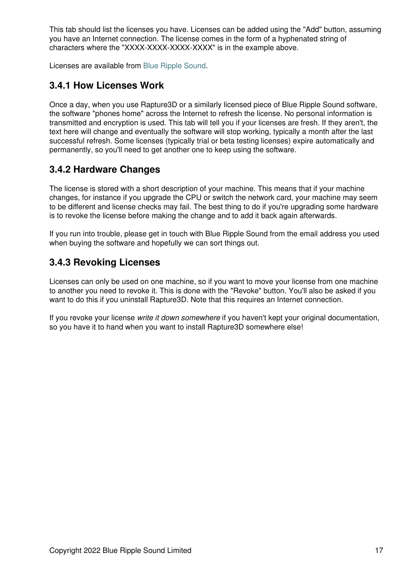This tab should list the licenses you have. Licenses can be added using the "Add" button, assuming you have an Internet connection. The license comes in the form of a hyphenated string of characters where the "XXXX-XXXX-XXXX-XXXX" is in the example above.

Licenses are available from [Blue Ripple Sound](http://www.blueripplesound.com).

#### **3.4.1 How Licenses Work**

Once a day, when you use Rapture3D or a similarly licensed piece of Blue Ripple Sound software, the software "phones home" across the Internet to refresh the license. No personal information is transmitted and encryption is used. This tab will tell you if your licenses are fresh. If they aren't, the text here will change and eventually the software will stop working, typically a month after the last successful refresh. Some licenses (typically trial or beta testing licenses) expire automatically and permanently, so you'll need to get another one to keep using the software.

#### **3.4.2 Hardware Changes**

The license is stored with a short description of your machine. This means that if your machine changes, for instance if you upgrade the CPU or switch the network card, your machine may seem to be different and license checks may fail. The best thing to do if you're upgrading some hardware is to revoke the license before making the change and to add it back again afterwards.

If you run into trouble, please get in touch with Blue Ripple Sound from the email address you used when buying the software and hopefully we can sort things out.

### **3.4.3 Revoking Licenses**

Licenses can only be used on one machine, so if you want to move your license from one machine to another you need to revoke it. This is done with the "Revoke" button. You'll also be asked if you want to do this if you uninstall Rapture3D. Note that this requires an Internet connection.

<span id="page-18-0"></span>If you revoke your license *write it down somewhere* if you haven't kept your original documentation, so you have it to hand when you want to install Rapture3D somewhere else!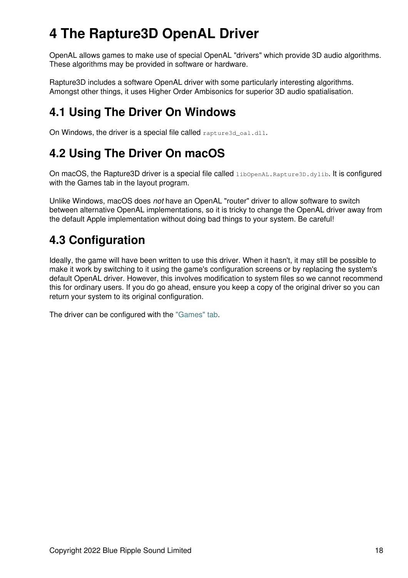# **4 The Rapture3D OpenAL Driver**

OpenAL allows games to make use of special OpenAL "drivers" which provide 3D audio algorithms. These algorithms may be provided in software or hardware.

Rapture3D includes a software OpenAL driver with some particularly interesting algorithms. Amongst other things, it uses Higher Order Ambisonics for superior 3D audio spatialisation.

### <span id="page-19-0"></span>**4.1 Using The Driver On Windows**

On Windows, the driver is a special file called rapture3d\_oa1.dll.

### <span id="page-19-1"></span>**4.2 Using The Driver On macOS**

On macOS, the Rapture3D driver is a special file called *libOpenAL.Rapture3D.dylib.* It is configured with the Games tab in the layout program.

Unlike Windows, macOS does *not* have an OpenAL "router" driver to allow software to switch between alternative OpenAL implementations, so it is tricky to change the OpenAL driver away from the default Apple implementation without doing bad things to your system. Be careful!

### <span id="page-19-2"></span>**4.3 Configuration**

Ideally, the game will have been written to use this driver. When it hasn't, it may still be possible to make it work by switching to it using the game's configuration screens or by replacing the system's default OpenAL driver. However, this involves modification to system files so we cannot recommend this for ordinary users. If you do go ahead, ensure you keep a copy of the original driver so you can return your system to its original configuration.

<span id="page-19-3"></span>The driver can be configured with the ["Games" tab.](#page-15-0)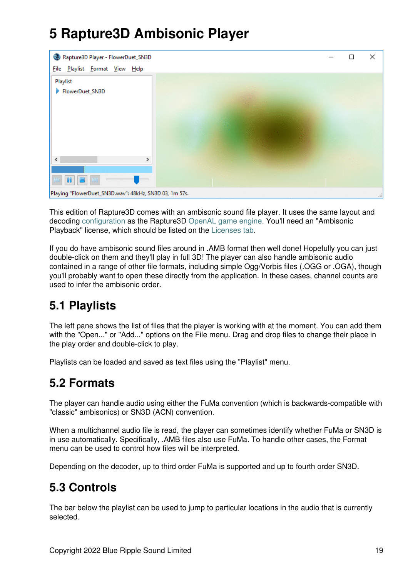# **5 Rapture3D Ambisonic Player**



This edition of Rapture3D comes with an ambisonic sound file player. It uses the same layout and decoding [configuration](#page-8-0) as the Rapture3D [OpenAL game engine](#page-18-0). You'll need an "Ambisonic Playback" license, which should be listed on the [Licenses tab.](#page-17-0)

If you do have ambisonic sound files around in .AMB format then well done! Hopefully you can just double-click on them and they'll play in full 3D! The player can also handle ambisonic audio contained in a range of other file formats, including simple Ogg/Vorbis files (.OGG or .OGA), though you'll probably want to open these directly from the application. In these cases, channel counts are used to infer the ambisonic order.

### <span id="page-20-0"></span>**5.1 Playlists**

The left pane shows the list of files that the player is working with at the moment. You can add them with the "Open..." or "Add..." options on the File menu. Drag and drop files to change their place in the play order and double-click to play.

Playlists can be loaded and saved as text files using the "Playlist" menu.

### <span id="page-20-1"></span>**5.2 Formats**

The player can handle audio using either the FuMa convention (which is backwards-compatible with "classic" ambisonics) or SN3D (ACN) convention.

When a multichannel audio file is read, the player can sometimes identify whether FuMa or SN3D is in use automatically. Specifically, .AMB files also use FuMa. To handle other cases, the Format menu can be used to control how files will be interpreted.

Depending on the decoder, up to third order FuMa is supported and up to fourth order SN3D.

### <span id="page-20-2"></span>**5.3 Controls**

The bar below the playlist can be used to jump to particular locations in the audio that is currently selected.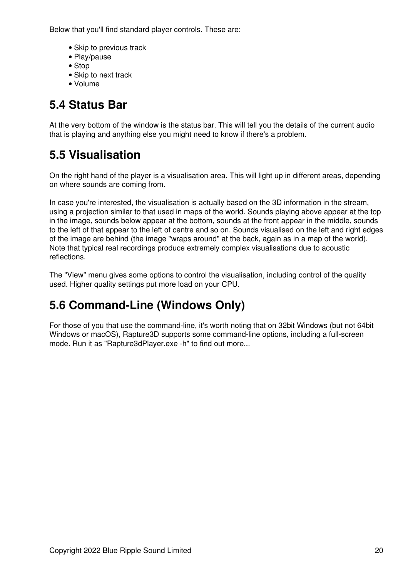Below that you'll find standard player controls. These are:

- Skip to previous track
- Play/pause
- Stop
- Skip to next track
- Volume

### <span id="page-21-0"></span>**5.4 Status Bar**

At the very bottom of the window is the status bar. This will tell you the details of the current audio that is playing and anything else you might need to know if there's a problem.

### <span id="page-21-1"></span>**5.5 Visualisation**

On the right hand of the player is a visualisation area. This will light up in different areas, depending on where sounds are coming from.

In case you're interested, the visualisation is actually based on the 3D information in the stream, using a projection similar to that used in maps of the world. Sounds playing above appear at the top in the image, sounds below appear at the bottom, sounds at the front appear in the middle, sounds to the left of that appear to the left of centre and so on. Sounds visualised on the left and right edges of the image are behind (the image "wraps around" at the back, again as in a map of the world). Note that typical real recordings produce extremely complex visualisations due to acoustic reflections.

The "View" menu gives some options to control the visualisation, including control of the quality used. Higher quality settings put more load on your CPU.

## <span id="page-21-2"></span>**5.6 Command-Line (Windows Only)**

<span id="page-21-3"></span>For those of you that use the command-line, it's worth noting that on 32bit Windows (but not 64bit Windows or macOS), Rapture3D supports some command-line options, including a full-screen mode. Run it as "Rapture3dPlayer.exe -h" to find out more...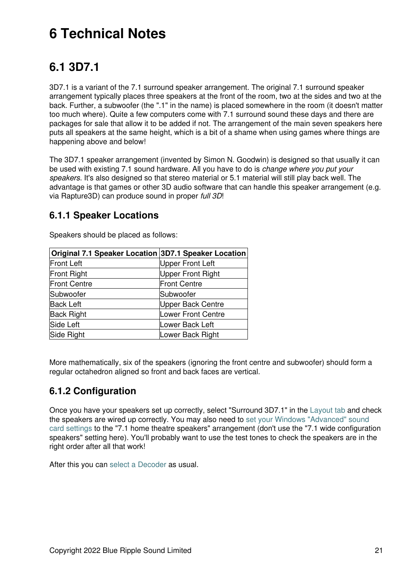# **6 Technical Notes**

### <span id="page-22-0"></span>**6.1 3D7.1**

3D7.1 is a variant of the 7.1 surround speaker arrangement. The original 7.1 surround speaker arrangement typically places three speakers at the front of the room, two at the sides and two at the back. Further, a subwoofer (the ".1" in the name) is placed somewhere in the room (it doesn't matter too much where). Quite a few computers come with 7.1 surround sound these days and there are packages for sale that allow it to be added if not. The arrangement of the main seven speakers here puts all speakers at the same height, which is a bit of a shame when using games where things are happening above and below!

The 3D7.1 speaker arrangement (invented by Simon N. Goodwin) is designed so that usually it can be used with existing 7.1 sound hardware. All you have to do is *change where you put your speakers*. It's also designed so that stereo material or 5.1 material will still play back well. The advantage is that games or other 3D audio software that can handle this speaker arrangement (e.g. via Rapture3D) can produce sound in proper *full 3D*!

#### **6.1.1 Speaker Locations**

| Original 7.1 Speaker Location 3D7.1 Speaker Location |                          |
|------------------------------------------------------|--------------------------|
| <b>Front Left</b>                                    | <b>Upper Front Left</b>  |
| <b>Front Right</b>                                   | <b>Upper Front Right</b> |
| <b>Front Centre</b>                                  | <b>Front Centre</b>      |
| Subwoofer                                            | Subwoofer                |
| <b>Back Left</b>                                     | Upper Back Centre        |
| <b>Back Right</b>                                    | Lower Front Centre       |
| Side Left                                            | Lower Back Left          |
| Side Right                                           | Lower Back Right         |

Speakers should be placed as follows:

More mathematically, six of the speakers (ignoring the front centre and subwoofer) should form a regular octahedron aligned so front and back faces are vertical.

### **6.1.2 Configuration**

Once you have your speakers set up correctly, select "Surround 3D7.1" in the [Layout tab](#page-8-0) and check the speakers are wired up correctly. You may also need to [set your Windows "Advanced" sound](#page-2-3) [card settings](#page-2-3) to the "7.1 home theatre speakers" arrangement (don't use the "7.1 wide configuration speakers" setting here). You'll probably want to use the test tones to check the speakers are in the right order after all that work!

After this you can [select a Decoder](#page-11-0) as usual.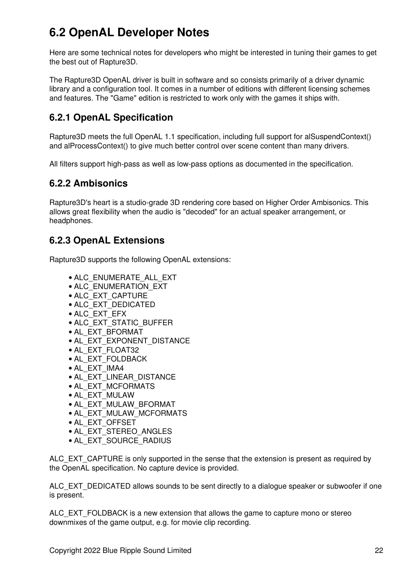### <span id="page-23-0"></span>**6.2 OpenAL Developer Notes**

Here are some technical notes for developers who might be interested in tuning their games to get the best out of Rapture3D.

The Rapture3D OpenAL driver is built in software and so consists primarily of a driver dynamic library and a configuration tool. It comes in a number of editions with different licensing schemes and features. The "Game" edition is restricted to work only with the games it ships with.

### **6.2.1 OpenAL Specification**

Rapture3D meets the full OpenAL 1.1 specification, including full support for alSuspendContext() and alProcessContext() to give much better control over scene content than many drivers.

All filters support high-pass as well as low-pass options as documented in the specification.

#### **6.2.2 Ambisonics**

Rapture3D's heart is a studio-grade 3D rendering core based on Higher Order Ambisonics. This allows great flexibility when the audio is "decoded" for an actual speaker arrangement, or headphones.

#### **6.2.3 OpenAL Extensions**

Rapture3D supports the following OpenAL extensions:

- ALC\_ENUMERATE\_ALL\_EXT
- ALC\_ENUMERATION\_EXT
- ALC\_EXT\_CAPTURE
- ALC\_EXT\_DEDICATED
- ALC\_EXT\_EFX
- ALC\_EXT\_STATIC\_BUFFER
- AL\_EXT\_BFORMAT
- AL\_EXT\_EXPONENT\_DISTANCE
- AL\_EXT\_FLOAT32
- AL\_EXT\_FOLDBACK
- AL\_EXT\_IMA4
- AL\_EXT\_LINEAR\_DISTANCE
- AL\_EXT\_MCFORMATS
- AL\_EXT\_MULAW
- AL\_EXT\_MULAW\_BFORMAT
- AL\_EXT\_MULAW\_MCFORMATS
- AL\_EXT\_OFFSET
- AL\_EXT\_STEREO\_ANGLES
- AL\_EXT\_SOURCE\_RADIUS

ALC\_EXT\_CAPTURE is only supported in the sense that the extension is present as required by the OpenAL specification. No capture device is provided.

ALC\_EXT\_DEDICATED allows sounds to be sent directly to a dialogue speaker or subwoofer if one is present.

ALC EXT FOLDBACK is a new extension that allows the game to capture mono or stereo downmixes of the game output, e.g. for movie clip recording.